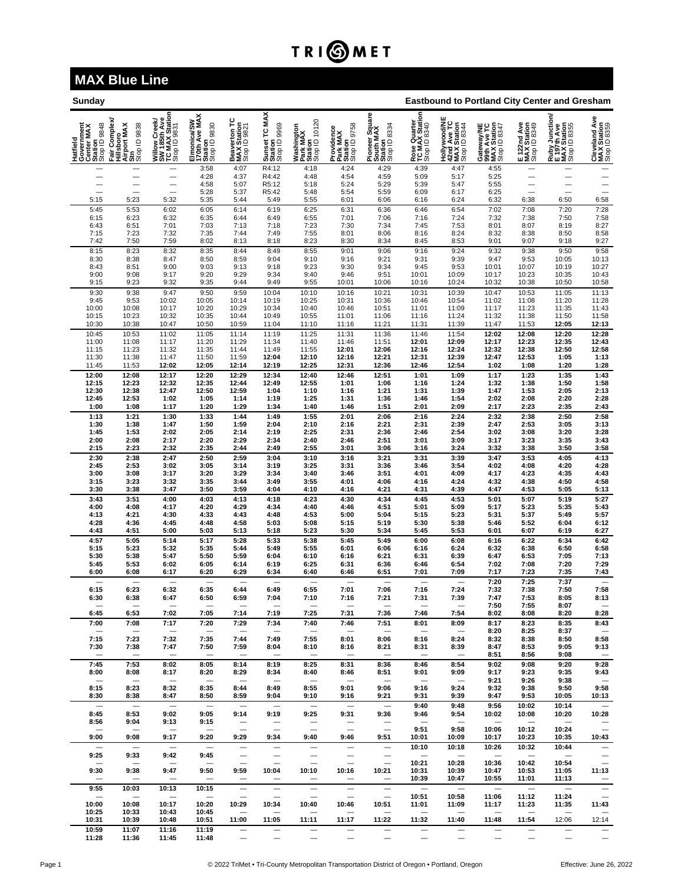## TRI**OMET**

## **MAX Blue Line**

| <b>Sunday</b>                                                   |                                                                  |                                                                 |                                                         |                                             |                                               |                                                    |                                                      |                                                        |                                                | <b>Eastbound to Portland City Center and Gresham</b>                 |                                                          |                                            |                                                              |                                              |  |  |
|-----------------------------------------------------------------|------------------------------------------------------------------|-----------------------------------------------------------------|---------------------------------------------------------|---------------------------------------------|-----------------------------------------------|----------------------------------------------------|------------------------------------------------------|--------------------------------------------------------|------------------------------------------------|----------------------------------------------------------------------|----------------------------------------------------------|--------------------------------------------|--------------------------------------------------------------|----------------------------------------------|--|--|
| Hatfield<br>Government<br>Center MAX<br>Station<br>Stop ID 9848 | Complex<br>Hillsboro<br>Airport MAX<br>Str<br>Stop ID 9838<br>Î. | Willow Creek/<br>SW 185th Ave<br>TC MAX Station<br>Stop ID 9831 | Elmonica/SW<br>170th Ave MAX<br>Station<br>Stop ID 9830 | Beaverton TC<br>MAX Station<br>Stop ID 9821 | Sunset TC MAX<br>Station<br>Stop ID 9969      | Washington<br>Park MAX<br>Station<br>Stop ID 10120 | Providence<br>Park MAX<br>Station<br>Stop ID 9758    | Pioneer Square<br>South MAX<br>Station<br>Stop ID 8334 | Rose Quarter<br>TC MAX Station<br>Stop ID 8340 | <b>Hollywood/NE<br/>42nd Ave TC<br/>MAX Station<br/>Stop ID 8344</b> | Gateway/NE<br>99th Ave TC<br>MAX Station<br>Stop ID 8347 | E 122nd Ave<br>MAX Station<br>Stop ID 8349 | Ruby Junction/<br>E 197th Ave<br>MAX Station<br>Stop ID 8355 | Cleveland Ave<br>MAX Station<br>Stop ID 8359 |  |  |
|                                                                 |                                                                  | $\overline{\phantom{0}}$                                        | 3:58<br>4:28                                            | 4:07<br>4:37                                | R4:12<br>R4:42                                | 4:18<br>4:48                                       | 4:24<br>4:54                                         | 4:29<br>4:59                                           | 4:39<br>5:09                                   | 4:47<br>5:17                                                         | 4:55<br>5:25                                             |                                            |                                                              | —<br>—                                       |  |  |
|                                                                 | $\overline{\phantom{0}}$                                         |                                                                 | 4:58                                                    | 5:07                                        | R5:12                                         | 5:18                                               | 5:24                                                 | 5:29                                                   | 5:39                                           | 5:47                                                                 | 5:55                                                     |                                            | $\overline{\phantom{0}}$                                     | $\overline{\phantom{0}}$                     |  |  |
| 5:15                                                            | 5:23                                                             | $\overline{\phantom{0}}$<br>5:32                                | 5:28<br>5:35                                            | 5:37<br>5:44                                | R5:42<br>5:49                                 | 5:48<br>5:55                                       | 5:54<br>6:01                                         | 5:59<br>6:06                                           | 6:09<br>6:16                                   | 6:17<br>6:24                                                         | 6:25<br>6:32                                             | -<br>6:38                                  | 6:50                                                         | 6:58                                         |  |  |
| 5:45<br>6:15                                                    | 5:53<br>6:23                                                     | 6:02<br>6:32                                                    | 6:05<br>6:35                                            | 6:14<br>6:44                                | 6:19<br>6:49                                  | 6:25<br>6:55                                       | 6:31<br>7:01                                         | 6:36<br>7:06                                           | 6:46                                           | 6:54<br>7:24                                                         | 7:02<br>7:32                                             | 7:08<br>7:38                               | 7:20<br>7:50                                                 | 7:28                                         |  |  |
| 6:43                                                            | 6:51                                                             | 7:01                                                            | 7:03                                                    | 7:13                                        | 7:18                                          | 7:23                                               | 7:30                                                 | 7:34                                                   | 7:16<br>7:45                                   | 7:53                                                                 | 8:01                                                     | 8:07                                       | 8:19                                                         | 7:58<br>8:27                                 |  |  |
| 7:15<br>7:42                                                    | 7:23<br>7:50                                                     | 7:32<br>7:59                                                    | 7:35<br>8:02                                            | 7:44<br>8:13                                | 7:49<br>8:18                                  | 7:55<br>8:23                                       | 8:01<br>8:30                                         | 8:06<br>8:34                                           | 8:16<br>8:45                                   | 8:24<br>8:53                                                         | 8:32<br>9:01                                             | 8:38<br>9:07                               | 8:50<br>9:18                                                 | 8:58<br>9:27                                 |  |  |
| 8:15                                                            | 8:23                                                             | 8:32                                                            | 8:35                                                    | 8:44                                        | 8:49                                          | 8:55                                               | 9:01                                                 | 9:06                                                   | 9:16                                           | 9:24                                                                 | 9:32                                                     | 9:38                                       | 9:50                                                         | 9:58                                         |  |  |
| 8:30<br>8:43                                                    | 8:38<br>8:51                                                     | 8:47<br>9:00                                                    | 8:50<br>9:03                                            | 8:59<br>9:13                                | 9:04<br>9:18                                  | 9:10<br>9:23                                       | 9:16<br>9:30                                         | 9:21<br>9:34                                           | 9:31<br>9:45                                   | 9:39<br>9:53                                                         | 9:47<br>10:01                                            | 9:53<br>10:07                              | 10:05<br>10:19                                               | 10:13<br>10:27                               |  |  |
| 9:00                                                            | 9:08                                                             | 9:17                                                            | 9:20                                                    | 9:29                                        | 9:34                                          | 9:40                                               | 9:46                                                 | 9:51                                                   | 10:01                                          | 10:09                                                                | 10:17                                                    | 10:23                                      | 10:35                                                        | 10:43                                        |  |  |
| 9:15<br>9:30                                                    | 9:23<br>9:38                                                     | 9:32<br>9:47                                                    | 9:35<br>9:50                                            | 9:44<br>9:59                                | 9:49<br>10:04                                 | 9:55<br>10:10                                      | 10:01<br>10:16                                       | 10:06<br>10:21                                         | 10:16<br>10:31                                 | 10:24<br>10:39                                                       | 10:32<br>10:47                                           | 10:38<br>10:53                             | 10:50<br>11:05                                               | 10:58<br>11:13                               |  |  |
| 9:45                                                            | 9:53                                                             | 10:02                                                           | 10:05                                                   | 10:14                                       | 10:19                                         | 10:25                                              | 10:31                                                | 10:36                                                  | 10:46                                          | 10:54                                                                | 11:02                                                    | 11:08                                      | 11:20                                                        | 11:28                                        |  |  |
| 10:00<br>10:15                                                  | 10:08<br>10:23                                                   | 10:17<br>10:32                                                  | 10:20<br>10:35                                          | 10:29<br>10:44                              | 10:34<br>10:49                                | 10:40<br>10:55                                     | 10:46<br>11:01                                       | 10:51<br>11:06                                         | 11:01<br>11:16                                 | 11:09<br>11:24                                                       | 11:17<br>11:32                                           | 11:23<br>11:38                             | 11:35<br>11:50                                               | 11:43<br>11:58                               |  |  |
| 10:30                                                           | 10:38                                                            | 10:47                                                           | 10:50                                                   | 10:59                                       | 11:04                                         | 11:10                                              | 11:16                                                | 11:21                                                  | 11:31                                          | 11:39                                                                | 11:47                                                    | 11:53                                      | 12:05                                                        | 12:13                                        |  |  |
| 10:45<br>11:00                                                  | 10:53<br>11:08                                                   | 11:02<br>11:17                                                  | 11:05<br>11:20                                          | 11:14<br>11:29                              | 11:19<br>11:34                                | 11:25<br>11:40                                     | 11:31<br>11:46                                       | 11:36<br>11:51                                         | 11:46<br>12:01                                 | 11:54<br>12:09                                                       | 12:02<br>12:17                                           | 12:08<br>12:23                             | 12:20<br>12:35                                               | 12:28<br>12:43                               |  |  |
| 11:15<br>11:30                                                  | 11:23<br>11:38                                                   | 11:32<br>11:47                                                  | 11:35<br>11:50                                          | 11:44<br>11:59                              | 11:49<br>12:04                                | 11:55<br>12:10                                     | 12:01<br>12:16                                       | 12:06<br>12:21                                         | 12:16<br>12:31                                 | 12:24<br>12:39                                                       | 12:32<br>12:47                                           | 12:38<br>12:53                             | 12:50<br>1:05                                                | 12:58<br>1:13                                |  |  |
| 11:45                                                           | 11:53                                                            | 12:02                                                           | 12:05                                                   | 12:14                                       | 12:19                                         | 12:25                                              | 12:31                                                | 12:36                                                  | 12:46                                          | 12:54                                                                | 1:02                                                     | 1:08                                       | 1:20                                                         | 1:28                                         |  |  |
| 12:00<br>12:15                                                  | 12:08<br>12:23                                                   | 12:17<br>12:32                                                  | 12:20<br>12:35                                          | 12:29<br>12:44                              | 12:34<br>12:49                                | 12:40<br>12:55                                     | 12:46<br>1:01                                        | 12:51<br>1:06                                          | 1:01<br>1:16                                   | 1:09<br>1:24                                                         | 1:17<br>1:32                                             | 1:23<br>1:38                               | 1:35<br>1:50                                                 | 1:43<br>1:58                                 |  |  |
| 12:30                                                           | 12:38                                                            | 12:47                                                           | 12:50                                                   | 12:59                                       | 1:04                                          | 1:10                                               | 1:16                                                 | 1:21                                                   | 1:31                                           | 1:39                                                                 | 1:47                                                     | 1:53                                       | 2:05                                                         | 2:13                                         |  |  |
| 12:45<br>1:00                                                   | 12:53<br>1:08                                                    | 1:02<br>1:17                                                    | 1:05<br>1:20                                            | 1:14<br>1:29                                | 1:19<br>1:34                                  | 1:25<br>1:40                                       | 1:31<br>1:46                                         | 1:36<br>1:51                                           | 1:46<br>2:01                                   | 1:54<br>2:09                                                         | 2:02<br>2:17                                             | 2:08<br>2:23                               | 2:20<br>2:35                                                 | 2:28<br>2:43                                 |  |  |
| 1:13                                                            | 1:21                                                             | 1:30                                                            | 1:33                                                    | 1:44                                        | 1:49                                          | 1:55                                               | 2:01                                                 | 2:06                                                   | 2:16                                           | 2:24                                                                 | 2:32                                                     | 2:38                                       | 2:50                                                         | 2:58                                         |  |  |
| 1:30<br>1:45                                                    | 1:38<br>1:53                                                     | 1:47<br>2:02                                                    | 1:50<br>2:05                                            | 1:59<br>2:14                                | 2:04<br>2:19                                  | 2:10<br>2:25                                       | 2:16<br>2:31                                         | 2:21<br>2:36                                           | 2:31<br>2:46                                   | 2:39<br>2:54                                                         | 2:47<br>3:02                                             | 2:53<br>3:08                               | 3:05<br>3:20                                                 | 3:13<br>3:28                                 |  |  |
| 2:00                                                            | 2:08                                                             | 2:17                                                            | 2:20                                                    | 2:29                                        | 2:34                                          | 2:40                                               | 2:46                                                 | 2:51                                                   | 3:01                                           | 3:09                                                                 | 3:17                                                     | 3:23                                       | 3:35                                                         | 3:43                                         |  |  |
| 2:15<br>2:30                                                    | 2:23<br>2:38                                                     | 2:32<br>2:47                                                    | 2:35<br>2:50                                            | 2:44<br>2:59                                | 2:49<br>3:04                                  | 2:55<br>3:10                                       | 3:01<br>3:16                                         | 3:06<br>3:21                                           | 3:16<br>3:31                                   | 3:24<br>3:39                                                         | 3:32<br>3:47                                             | 3:38<br>3:53                               | 3:50<br>4:05                                                 | 3:58                                         |  |  |
| 2:45                                                            | 2:53<br>3:08                                                     | 3:02                                                            | 3:05                                                    | 3:14                                        | 3:19                                          | 3:25<br>3:40                                       | 3:31                                                 | 3:36                                                   | 3:46                                           | 3:54<br>4:09                                                         | 4:02                                                     | 4:08                                       | 4:20                                                         | 4:13<br>4:28                                 |  |  |
| 3:00<br>3:15                                                    | 3:23                                                             | 3:17<br>3:32                                                    | 3:20<br>3:35                                            | 3:29<br>3:44                                | 3:34<br>3:49                                  | 3:55                                               | 3:46<br>4:01                                         | 3:51<br>4:06                                           | 4:01<br>4:16                                   | 4:24                                                                 | 4:17<br>4:32                                             | 4:23<br>4:38                               | 4:35<br>4:50                                                 | 4:43<br>4:58<br>5:13                         |  |  |
| 3:30<br>3:43                                                    | 3:38<br>3:51                                                     | 3:47<br>4:00                                                    | 3:50<br>4:03                                            | 3:59<br>4:13                                | 4:04<br>4:18                                  | 4:10<br>4:23                                       | 4:16<br>4:30                                         | 4:21<br>4:34                                           | 4:31<br>4:45                                   | 4:39<br>4:53                                                         | 4:47<br>5:01                                             | 4:53<br>5:07                               | 5:05<br>5:19                                                 | 5:27                                         |  |  |
| 4:00                                                            | 4:08                                                             | 4:17                                                            | 4:20                                                    | 4:29                                        | 4:34                                          | 4:40                                               | 4:46                                                 | 4:51                                                   | 5:01                                           | 5:09                                                                 | 5:17                                                     | 5:23                                       | 5:35                                                         | 5:43                                         |  |  |
| 4:13<br>4:28                                                    | 4:21<br>4:36                                                     | 4:30<br>4:45                                                    | 4:33<br>4:48                                            | 4:43<br>4:58                                | 4:48<br>5:03                                  | 4:53<br>5:08                                       | 5:00<br>5:15                                         | 5:04<br>5:19                                           | 5:15<br>5:30                                   | 5:23<br>5:38                                                         | 5:31<br>5:46                                             | 5:37<br>5:52                               | 5:49<br>6:04                                                 | 5:57<br>6:12                                 |  |  |
| 4:43                                                            | 4:51                                                             | 5:00                                                            | 5:03                                                    | 5:13                                        | 5:18                                          | 5:23                                               | 5:30                                                 | 5:34                                                   | 5:45                                           | 5:53                                                                 | 6:01                                                     | 6:07                                       | 6:19                                                         | 6:27                                         |  |  |
| 4:57<br>5:15                                                    | 5:05<br>5:23                                                     | 5:14<br>5:32                                                    | 5:17<br>5:35                                            | 5:28<br>5:44                                | 5:33<br>5:49                                  | 5:38<br>5:55                                       | 5:45<br>6:01                                         | 5:49<br>6:06                                           | 6:00<br>6:16                                   | 6:08<br>6:24                                                         | 6:16<br>6:32                                             | 6:22<br>6:38                               | 6:34<br>6:50                                                 | 6:42                                         |  |  |
| 5:30                                                            | 5:38                                                             | 5:47                                                            | 5:50                                                    | 5:59                                        | 6:04                                          | 6:10                                               | 6:16                                                 | 6:21                                                   | 6:31                                           | 6:39                                                                 | 6:47                                                     | 6:53                                       | 7:05                                                         | 6:58<br>7:13<br>7:29                         |  |  |
| 5:45<br>6:00                                                    | 5:53<br>6:08                                                     | 6:02<br>6:17                                                    | 6:05<br>6:20                                            | 6:14<br>6:29                                | 6:19<br>6:34                                  | 6:25<br>6:40                                       | 6:31<br>6:46                                         | 6:36<br>6:51                                           | 6:46<br>7:01                                   | 6:54<br>7:09                                                         | 7:02<br>7:17                                             | 7:08<br>7:23                               | 7:20<br>7:35                                                 | 7:43                                         |  |  |
| 6:15                                                            | 6:23                                                             | 6:32                                                            | 6:35                                                    | 6:44                                        | 6:49                                          | 6:55                                               | 7:01                                                 | 7:06                                                   | 7:16                                           | 7:24                                                                 | 7:20                                                     | 7:25<br>7:38                               | 7:37<br>7:50                                                 | $\overline{\phantom{0}}$<br>7:58             |  |  |
| 6:30                                                            | 6:38                                                             | 6:47                                                            | 6:50                                                    | 6:59                                        | 7:04                                          | 7:10                                               | 7:16                                                 | 7:21                                                   | 7:31                                           | 7:39                                                                 | 7:32<br>7:47                                             | 7:53                                       | 8:05                                                         | 8:13                                         |  |  |
| 6:45                                                            | 6:53                                                             | 7:02                                                            | 7:05                                                    | 7:14                                        | 7:19                                          | 7:25                                               | 7:31                                                 | 7:36                                                   | 7:46                                           | 7:54                                                                 | 7:50<br>8:02                                             | 7:55<br>8:08                               | 8:07<br>8:20                                                 | 8:28                                         |  |  |
| 7:00                                                            | 7:08                                                             | 7:17                                                            | 7:20                                                    | 7:29                                        | 7:34                                          | 7:40                                               | 7:46                                                 | 7:51                                                   | 8:01                                           | 8:09                                                                 | 8:17                                                     | 8:23                                       | 8:35                                                         | 8:43                                         |  |  |
| $\overline{\phantom{m}}$<br>7:15                                | 7:23                                                             | $\overline{\phantom{m}}$<br>7:32                                | $\overline{\phantom{m}}$<br>7:35                        | 7:44                                        | 7:49                                          | 7:55                                               | 8:01                                                 | $\overline{\phantom{a}}$<br>8:06                       | 8:16                                           | 8:24                                                                 | 8:20<br>8:32                                             | 8:25<br>8:38                               | 8:37<br>8:50                                                 | 8:58                                         |  |  |
| 7:30                                                            | 7:38                                                             | 7:47                                                            | 7:50                                                    | 7:59                                        | 8:04                                          | 8:10                                               | 8:16                                                 | 8:21                                                   | 8:31                                           | 8:39                                                                 | 8:47                                                     | 8:53                                       | 9:05                                                         | 9:13                                         |  |  |
| $\overline{\phantom{m}}$<br>7:45                                | 7:53                                                             | $\overline{\phantom{m}}$<br>8:02                                | $\overline{\phantom{m}}$<br>8:05                        | 8:14                                        | $\overline{\phantom{m}}$<br>8:19              | $\overline{\phantom{m}}$<br>8:25                   | $\overline{\phantom{m}}$<br>8:31                     | $\overline{\phantom{m}}$<br>8:36                       | $\qquad \qquad$<br>8:46                        | $\overline{\phantom{m}}$<br>8:54                                     | 8:51<br>9:02                                             | 8:56<br>9:08                               | 9:08<br>9:20                                                 | $\overline{\phantom{m}}$<br>9:28             |  |  |
| 8:00<br>$\overline{\phantom{a}}$                                | 8:08                                                             | 8:17                                                            | 8:20<br>$\overline{\phantom{m}}$                        | 8:29                                        | 8:34<br>$\overline{\phantom{a}}$              | 8:40<br>$\overline{\phantom{a}}$                   | 8:46                                                 | 8:51                                                   | 9:01                                           | 9:09                                                                 | 9:17<br>9:21                                             | 9:23<br>9:26                               | 9:35<br>9:38                                                 | 9:43                                         |  |  |
| 8:15                                                            | 8:23                                                             | 8:32                                                            | 8:35                                                    | 8:44                                        | 8:49                                          | 8:55                                               | 9:01                                                 | 9:06                                                   | 9:16                                           | 9:24                                                                 | 9:32                                                     | 9:38                                       | 9:50                                                         | $\overline{\phantom{a}}$<br>9:58             |  |  |
| 8:30<br>$\overline{\phantom{m}}$                                | 8:38<br>$\overline{\phantom{0}}$                                 | 8:47<br>$\overline{\phantom{m}}$                                | 8:50<br>$\overline{\phantom{m}}$                        | 8:59<br>$\overline{\phantom{a}}$            | 9:04                                          | 9:10<br>$\overline{\phantom{m}}$                   | 9:16                                                 | 9:21<br>$\overline{\phantom{m}}$                       | 9:31                                           | 9:39<br>9:48                                                         | 9:47                                                     | 9:53<br>10:02                              | 10:05<br>10:14                                               | 10:13<br>$\overline{\phantom{m}}$            |  |  |
| 8:45                                                            | 8:53                                                             | 9:02                                                            | 9:05                                                    | 9:14                                        | 9:19                                          | 9:25                                               | 9:31                                                 | 9:36                                                   | 9:40<br>9:46                                   | 9:54                                                                 | 9:56<br>10:02                                            | 10:08                                      | 10:20                                                        | 10:28                                        |  |  |
| 8:56                                                            | 9:04                                                             | 9:13                                                            | 9:15                                                    | $\equiv$                                    | $\overline{\phantom{0}}$                      |                                                    | —                                                    | —                                                      | 9:51                                           | 9:58                                                                 | $\overbrace{\phantom{1232211}}$<br>10:06                 | 10:12                                      | 10:24                                                        | $\overline{\phantom{0}}$                     |  |  |
| 9:00                                                            | 9:08                                                             | 9:17                                                            | 9:20                                                    | 9:29                                        | 9:34                                          | 9:40                                               | 9:46                                                 | 9:51                                                   | 10:01                                          | 10:09                                                                | 10:17                                                    | 10:23                                      | 10:35                                                        | 10:43                                        |  |  |
| $\overline{\phantom{0}}$<br>9:25                                | $\overline{\phantom{0}}$<br>9:33                                 | $\overline{\phantom{0}}$<br>9:42                                | $\overline{\phantom{0}}$<br>9:45                        | $\equiv$                                    | —<br>$\overline{\phantom{m}}$                 | $\overline{\phantom{0}}$                           | —<br>$\equiv$                                        | —<br>—                                                 | 10:10                                          | 10:18                                                                | 10:26                                                    | 10:32                                      | 10:44                                                        | $\overline{\phantom{m}}$                     |  |  |
| 9:30                                                            | $\overline{\phantom{a}}$<br>9:38                                 | 9:47                                                            | $\qquad \qquad$<br>9:50                                 | 9:59                                        | 10:04                                         | —<br>10:10                                         | $\overline{\phantom{0}}$<br>10:16                    | $\overline{\phantom{0}}$<br>10:21                      | 10:21<br>10:31                                 | 10:28<br>10:39                                                       | 10:36<br>10:47                                           | 10:42<br>10:53                             | 10:54<br>11:05                                               | 11:13                                        |  |  |
| $\overline{\phantom{m}}$                                        |                                                                  | $\overline{\phantom{m}}$                                        | $\overline{\phantom{m}}$                                |                                             | $\overline{\phantom{0}}$<br>$\qquad \qquad -$ | $\qquad \qquad$<br>$\qquad \qquad -$               | $\overline{\phantom{0}}$<br>$\overline{\phantom{0}}$ | —<br>$\qquad \qquad -$                                 | 10:39<br>$\overline{\phantom{0}}$              | 10:47<br>$\overline{\phantom{a}}$                                    | 10:55<br>$\overline{\phantom{m}}$                        | 11:01<br>$\overline{\phantom{a}}$          | 11:13<br>$\overline{\phantom{0}}$                            |                                              |  |  |
| 9:55                                                            | 10:03<br>$\overline{\phantom{a}}$                                | 10:13<br>$\overline{\phantom{a}}$                               | 10:15                                                   | $\overline{\phantom{0}}$                    |                                               |                                                    |                                                      |                                                        | 10:51                                          | 10:58                                                                | 11:06                                                    | 11:12                                      | 11:24                                                        | $=$                                          |  |  |
| 10:00<br>10:25                                                  | 10:08<br>10:33                                                   | 10:17<br>10:43                                                  | 10:20<br>10:45                                          | 10:29                                       | 10:34                                         | 10:40<br>$\overline{\phantom{a}}$                  | 10:46                                                | 10:51                                                  | 11:01                                          | 11:09                                                                | 11:17<br>$\overline{\phantom{a}}$                        | 11:23                                      | 11:35                                                        | 11:43<br>-                                   |  |  |
| 10:31                                                           | 10:39                                                            | 10:48                                                           | 10:51                                                   | 11:00                                       | 11:05                                         | 11:11                                              | 11:17                                                | 11:22                                                  | 11:32                                          | 11:40                                                                | 11:48                                                    | 11:54                                      | 12:06                                                        | 12:14                                        |  |  |
| 10:59                                                           | 11:07                                                            | 11:16                                                           | 11:19                                                   |                                             | $\overline{\phantom{0}}$                      | $\qquad \qquad -$                                  | $\equiv$                                             | $\qquad \qquad -$                                      |                                                |                                                                      | $\overline{\phantom{0}}$                                 | $\overline{\phantom{0}}$                   | $\overline{\phantom{0}}$                                     | $\qquad \qquad -$                            |  |  |

**11:28 11:36 11:45 11:48** — — — — — — — — — — —